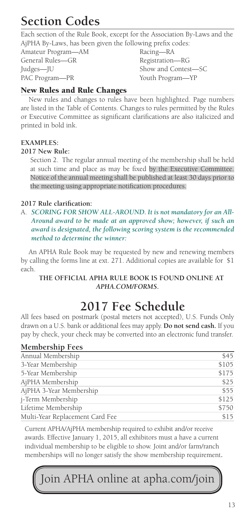# **Section Codes**

Each section of the Rule Book, except for the Association By-Laws and the AjPHA By-Laws, has been given the following prefix codes:

Amateur Program—AM Racing—RA General Rules—GR Registration—RG Judges—JU Show and Contest—SC PAC Program—PR Youth Program—YP

### New Rules and Rule Changes

New rules and changes to rules have been highlighted. Page numbers are listed in the Table of Contents. Changes to rules permitted by the Rules or Executive Committee as significant clarifications are also italicized and printed in bold ink.

#### **EXAMPLES:**

#### **2017 New Rule:**

 Section 2. The regular annual meeting of the membership shall be held at such time and place as may be fixed by the Executive Committee. Notice of the annual meeting shall be published at least 30 days prior to the meeting using appropriate notification procedures.

#### **2017 Rule clarification:**

A. *SCORING FOR SHOW ALL-AROUND. It is not mandatory for an All-Around award to be made at an approved show; however, if such an award is designated, the following scoring system is the recommended method to determine the winner:*

An APHA Rule Book may be requested by new and renewing members by calling the forms line at ext. 271. Additional copies are available for \$1 each.

#### **THE OFFICIAL APHA RULE BOOK IS FOUND ONLINE AT**  *APHA.COM/FORMS***.**

# **2017 Fee Schedule**

All fees based on postmark (postal meters not accepted), U.S. Funds Only drawn on a U.S. bank or additional fees may apply. **Do not send cash.** If you pay by check, your check may be converted into an electronic fund transfer.

#### **Membership Fees** Annual Membership  $$45$ 3-Year Membership  $$105$ 5-Year Membership  $$175$ AjPHA Membership  $$25$ AjPHA 3-Year Membership  $$55$ j-Term Membership  $$125$ Lifetime Membership \$750 Multi-Year Replacement Card Fee \$15

Current APHA/AjPHA membership required to exhibit and/or receive awards. Effective January 1, 2015, all exhibitors must a have a current individual membership to be eligible to show. Joint and/or farm/ranch memberships will no longer satisfy the show membership requirement**.**

Ioin APHA online at apha.com/join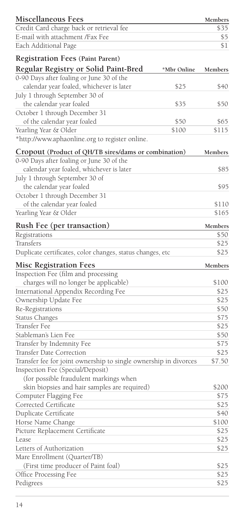| Miscellaneous Fees                                                                |               | Members       |
|-----------------------------------------------------------------------------------|---------------|---------------|
| Credit Card charge back or retrieval fee                                          |               | \$35          |
| E-mail with attachment /Fax Fee                                                   |               | \$5           |
| Each Additional Page                                                              |               | \$1           |
| <b>Registration Fees (Paint Parent)</b>                                           |               |               |
|                                                                                   |               |               |
| Regular Registry or Solid Paint-Bred<br>0-90 Days after foaling or June 30 of the | *Mbr Online   | Members       |
| calendar year foaled, whichever is later                                          |               |               |
|                                                                                   | \$25          | \$40          |
| July 1 through September 30 of                                                    |               |               |
| the calendar year foaled                                                          | \$35          | \$50          |
| October 1 through December 31                                                     |               |               |
| of the calendar year foaled<br>Yearling Year & Older                              | \$50<br>\$100 | \$65<br>\$115 |
| *http://www.aphaonline.org to register online.                                    |               |               |
| Cropout (Product of QH/TB sires/dams or combination)                              |               | Members       |
| 0-90 Days after foaling or June 30 of the                                         |               |               |
| calendar year foaled, whichever is later                                          |               |               |
| July 1 through September 30 of                                                    |               | \$85          |
|                                                                                   |               | \$95          |
| the calendar year foaled<br>October 1 through December 31                         |               |               |
| of the calendar year foaled                                                       |               | \$110         |
| Yearling Year & Older                                                             |               | \$165         |
|                                                                                   |               |               |
| Rush Fee (per transaction)                                                        |               | Members       |
| Registrations                                                                     |               | \$50          |
| Transfers                                                                         |               | \$25          |
| Duplicate certificates, color changes, status changes, etc                        |               | \$25          |
| <b>Misc Registration Fees</b>                                                     |               | Members       |
| Inspection Fee (film and processing                                               |               |               |
| charges will no longer be applicable)                                             |               | \$100         |
| International Appendix Recording Fee                                              |               | \$25          |
| Ownership Update Fee                                                              |               | \$25          |
| Re-Registrations                                                                  |               | \$50          |
| Status Changes                                                                    |               | \$75          |
| Transfer Fee                                                                      |               | \$25          |
| Stableman's Lien Fee                                                              |               | \$50          |
| Transfer by Indemnity Fee                                                         |               | \$75          |
| Transfer Date Correction                                                          |               | \$25          |
| Transfer fee for joint ownership to single ownership in divorces                  |               | \$7.50        |
| Inspection Fee (Special/Deposit)                                                  |               |               |
| (for possible fraudulent markings when                                            |               |               |
| skin biopsies and hair samples are required)                                      |               | \$200         |
| Computer Flagging Fee                                                             |               | \$75          |
| Corrected Certificate                                                             |               | \$25          |
| Duplicate Certificate                                                             |               | \$40          |
| Horse Name Change                                                                 |               | \$100         |
| Picture Replacement Certificate                                                   |               | \$25          |
| Lease                                                                             |               | \$25          |
| Letters of Authorization                                                          |               | \$25          |
| Mare Enrollment (Quarter/TB)                                                      |               |               |
| (First time producer of Paint foal)                                               |               | \$25          |
| Office Processing Fee                                                             |               | \$25          |
| Pedigrees                                                                         |               | \$25          |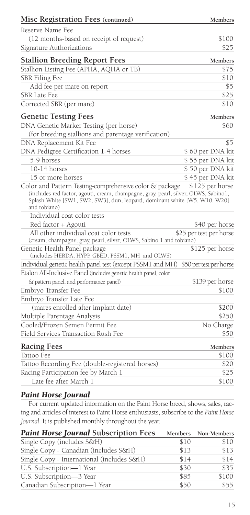| Reserve Name Fee<br>(12 months-based on receipt of request)<br>\$100<br>\$25<br><b>Stallion Breeding Report Fees</b><br>Members<br>Stallion Listing Fee (APHA, AQHA or TB)<br>\$75<br><b>SBR</b> Filing Fee<br>\$10<br>Add fee per mare on report<br>\$5<br>\$25<br><b>SBR</b> Late Fee<br>\$10<br><b>Genetic Testing Fees</b><br>Members<br>DNA Genetic Marker Testing (per horse)<br>\$60<br>(for breeding stallions and parentage verification)<br>DNA Replacement Kit Fee<br>\$5<br>DNA Pedigree Certification 1-4 horses<br>5-9 horses<br>\$55 per DNA kit<br>10-14 horses<br>\$50 per DNA kit<br>\$45 per DNA kit<br>15 or more horses<br>Color and Pattern Testing-comprehensive color & package<br>\$125 per horse<br>(includes red factor, agouti, cream, champagne, gray, pearl, silver, OLWS, Sabino1,<br>Splash White [SW1, SW2, SW3], dun, leopard, dominant white [W5, W10, W20]<br>and tobiano)<br>Individual coat color tests<br>Red factor + Agouti<br>All other individual coat color tests<br>\$25 per test per horse<br>(cream, champagne, gray, pearl, silver, OLWS, Sabino 1 and tobiano)<br>\$125 per horse<br>(includes HERDA, HYPP, GBED, PSSM1, MH and OLWS)<br>Individual genetic health panel test (except PSSM1 and MH)<br>\$50 per test per horse<br>& pattern panel, and performance panel)<br>\$139 per horse<br>\$100<br>(mares enrolled after implant date)<br>\$200<br>\$250<br>Cooled/Frozen Semen Permit Fee<br>No Charge<br>\$50<br>Field Services Transaction Rush Fee<br><b>Racing Fees</b><br>Members<br>Tattoo Fee<br>\$100<br>Tattoo Recording Fee (double-registered horses)<br>\$20<br>\$25<br>Late fee after March 1<br>\$100 | Misc Registration Fees (continued)                               | Members |
|-----------------------------------------------------------------------------------------------------------------------------------------------------------------------------------------------------------------------------------------------------------------------------------------------------------------------------------------------------------------------------------------------------------------------------------------------------------------------------------------------------------------------------------------------------------------------------------------------------------------------------------------------------------------------------------------------------------------------------------------------------------------------------------------------------------------------------------------------------------------------------------------------------------------------------------------------------------------------------------------------------------------------------------------------------------------------------------------------------------------------------------------------------------------------------------------------------------------------------------------------------------------------------------------------------------------------------------------------------------------------------------------------------------------------------------------------------------------------------------------------------------------------------------------------------------------------------------------------------------------------------------------------------------------------------|------------------------------------------------------------------|---------|
| \$60 per DNA kit<br>\$40 per horse                                                                                                                                                                                                                                                                                                                                                                                                                                                                                                                                                                                                                                                                                                                                                                                                                                                                                                                                                                                                                                                                                                                                                                                                                                                                                                                                                                                                                                                                                                                                                                                                                                          |                                                                  |         |
|                                                                                                                                                                                                                                                                                                                                                                                                                                                                                                                                                                                                                                                                                                                                                                                                                                                                                                                                                                                                                                                                                                                                                                                                                                                                                                                                                                                                                                                                                                                                                                                                                                                                             |                                                                  |         |
|                                                                                                                                                                                                                                                                                                                                                                                                                                                                                                                                                                                                                                                                                                                                                                                                                                                                                                                                                                                                                                                                                                                                                                                                                                                                                                                                                                                                                                                                                                                                                                                                                                                                             | Signature Authorizations                                         |         |
|                                                                                                                                                                                                                                                                                                                                                                                                                                                                                                                                                                                                                                                                                                                                                                                                                                                                                                                                                                                                                                                                                                                                                                                                                                                                                                                                                                                                                                                                                                                                                                                                                                                                             |                                                                  |         |
|                                                                                                                                                                                                                                                                                                                                                                                                                                                                                                                                                                                                                                                                                                                                                                                                                                                                                                                                                                                                                                                                                                                                                                                                                                                                                                                                                                                                                                                                                                                                                                                                                                                                             |                                                                  |         |
|                                                                                                                                                                                                                                                                                                                                                                                                                                                                                                                                                                                                                                                                                                                                                                                                                                                                                                                                                                                                                                                                                                                                                                                                                                                                                                                                                                                                                                                                                                                                                                                                                                                                             |                                                                  |         |
|                                                                                                                                                                                                                                                                                                                                                                                                                                                                                                                                                                                                                                                                                                                                                                                                                                                                                                                                                                                                                                                                                                                                                                                                                                                                                                                                                                                                                                                                                                                                                                                                                                                                             |                                                                  |         |
|                                                                                                                                                                                                                                                                                                                                                                                                                                                                                                                                                                                                                                                                                                                                                                                                                                                                                                                                                                                                                                                                                                                                                                                                                                                                                                                                                                                                                                                                                                                                                                                                                                                                             |                                                                  |         |
|                                                                                                                                                                                                                                                                                                                                                                                                                                                                                                                                                                                                                                                                                                                                                                                                                                                                                                                                                                                                                                                                                                                                                                                                                                                                                                                                                                                                                                                                                                                                                                                                                                                                             | Corrected SBR (per mare)                                         |         |
|                                                                                                                                                                                                                                                                                                                                                                                                                                                                                                                                                                                                                                                                                                                                                                                                                                                                                                                                                                                                                                                                                                                                                                                                                                                                                                                                                                                                                                                                                                                                                                                                                                                                             |                                                                  |         |
|                                                                                                                                                                                                                                                                                                                                                                                                                                                                                                                                                                                                                                                                                                                                                                                                                                                                                                                                                                                                                                                                                                                                                                                                                                                                                                                                                                                                                                                                                                                                                                                                                                                                             |                                                                  |         |
|                                                                                                                                                                                                                                                                                                                                                                                                                                                                                                                                                                                                                                                                                                                                                                                                                                                                                                                                                                                                                                                                                                                                                                                                                                                                                                                                                                                                                                                                                                                                                                                                                                                                             |                                                                  |         |
|                                                                                                                                                                                                                                                                                                                                                                                                                                                                                                                                                                                                                                                                                                                                                                                                                                                                                                                                                                                                                                                                                                                                                                                                                                                                                                                                                                                                                                                                                                                                                                                                                                                                             |                                                                  |         |
|                                                                                                                                                                                                                                                                                                                                                                                                                                                                                                                                                                                                                                                                                                                                                                                                                                                                                                                                                                                                                                                                                                                                                                                                                                                                                                                                                                                                                                                                                                                                                                                                                                                                             |                                                                  |         |
|                                                                                                                                                                                                                                                                                                                                                                                                                                                                                                                                                                                                                                                                                                                                                                                                                                                                                                                                                                                                                                                                                                                                                                                                                                                                                                                                                                                                                                                                                                                                                                                                                                                                             |                                                                  |         |
|                                                                                                                                                                                                                                                                                                                                                                                                                                                                                                                                                                                                                                                                                                                                                                                                                                                                                                                                                                                                                                                                                                                                                                                                                                                                                                                                                                                                                                                                                                                                                                                                                                                                             |                                                                  |         |
|                                                                                                                                                                                                                                                                                                                                                                                                                                                                                                                                                                                                                                                                                                                                                                                                                                                                                                                                                                                                                                                                                                                                                                                                                                                                                                                                                                                                                                                                                                                                                                                                                                                                             |                                                                  |         |
|                                                                                                                                                                                                                                                                                                                                                                                                                                                                                                                                                                                                                                                                                                                                                                                                                                                                                                                                                                                                                                                                                                                                                                                                                                                                                                                                                                                                                                                                                                                                                                                                                                                                             |                                                                  |         |
|                                                                                                                                                                                                                                                                                                                                                                                                                                                                                                                                                                                                                                                                                                                                                                                                                                                                                                                                                                                                                                                                                                                                                                                                                                                                                                                                                                                                                                                                                                                                                                                                                                                                             |                                                                  |         |
|                                                                                                                                                                                                                                                                                                                                                                                                                                                                                                                                                                                                                                                                                                                                                                                                                                                                                                                                                                                                                                                                                                                                                                                                                                                                                                                                                                                                                                                                                                                                                                                                                                                                             |                                                                  |         |
|                                                                                                                                                                                                                                                                                                                                                                                                                                                                                                                                                                                                                                                                                                                                                                                                                                                                                                                                                                                                                                                                                                                                                                                                                                                                                                                                                                                                                                                                                                                                                                                                                                                                             |                                                                  |         |
|                                                                                                                                                                                                                                                                                                                                                                                                                                                                                                                                                                                                                                                                                                                                                                                                                                                                                                                                                                                                                                                                                                                                                                                                                                                                                                                                                                                                                                                                                                                                                                                                                                                                             | Genetic Health Panel package                                     |         |
|                                                                                                                                                                                                                                                                                                                                                                                                                                                                                                                                                                                                                                                                                                                                                                                                                                                                                                                                                                                                                                                                                                                                                                                                                                                                                                                                                                                                                                                                                                                                                                                                                                                                             |                                                                  |         |
|                                                                                                                                                                                                                                                                                                                                                                                                                                                                                                                                                                                                                                                                                                                                                                                                                                                                                                                                                                                                                                                                                                                                                                                                                                                                                                                                                                                                                                                                                                                                                                                                                                                                             | Etalon All-Inclusive Panel (includes genetic health panel, color |         |
|                                                                                                                                                                                                                                                                                                                                                                                                                                                                                                                                                                                                                                                                                                                                                                                                                                                                                                                                                                                                                                                                                                                                                                                                                                                                                                                                                                                                                                                                                                                                                                                                                                                                             |                                                                  |         |
|                                                                                                                                                                                                                                                                                                                                                                                                                                                                                                                                                                                                                                                                                                                                                                                                                                                                                                                                                                                                                                                                                                                                                                                                                                                                                                                                                                                                                                                                                                                                                                                                                                                                             | Embryo Transfer Fee                                              |         |
|                                                                                                                                                                                                                                                                                                                                                                                                                                                                                                                                                                                                                                                                                                                                                                                                                                                                                                                                                                                                                                                                                                                                                                                                                                                                                                                                                                                                                                                                                                                                                                                                                                                                             | Embryo Transfer Late Fee                                         |         |
|                                                                                                                                                                                                                                                                                                                                                                                                                                                                                                                                                                                                                                                                                                                                                                                                                                                                                                                                                                                                                                                                                                                                                                                                                                                                                                                                                                                                                                                                                                                                                                                                                                                                             |                                                                  |         |
|                                                                                                                                                                                                                                                                                                                                                                                                                                                                                                                                                                                                                                                                                                                                                                                                                                                                                                                                                                                                                                                                                                                                                                                                                                                                                                                                                                                                                                                                                                                                                                                                                                                                             | Multiple Parentage Analysis                                      |         |
|                                                                                                                                                                                                                                                                                                                                                                                                                                                                                                                                                                                                                                                                                                                                                                                                                                                                                                                                                                                                                                                                                                                                                                                                                                                                                                                                                                                                                                                                                                                                                                                                                                                                             |                                                                  |         |
|                                                                                                                                                                                                                                                                                                                                                                                                                                                                                                                                                                                                                                                                                                                                                                                                                                                                                                                                                                                                                                                                                                                                                                                                                                                                                                                                                                                                                                                                                                                                                                                                                                                                             |                                                                  |         |
|                                                                                                                                                                                                                                                                                                                                                                                                                                                                                                                                                                                                                                                                                                                                                                                                                                                                                                                                                                                                                                                                                                                                                                                                                                                                                                                                                                                                                                                                                                                                                                                                                                                                             |                                                                  |         |
|                                                                                                                                                                                                                                                                                                                                                                                                                                                                                                                                                                                                                                                                                                                                                                                                                                                                                                                                                                                                                                                                                                                                                                                                                                                                                                                                                                                                                                                                                                                                                                                                                                                                             |                                                                  |         |
|                                                                                                                                                                                                                                                                                                                                                                                                                                                                                                                                                                                                                                                                                                                                                                                                                                                                                                                                                                                                                                                                                                                                                                                                                                                                                                                                                                                                                                                                                                                                                                                                                                                                             |                                                                  |         |
|                                                                                                                                                                                                                                                                                                                                                                                                                                                                                                                                                                                                                                                                                                                                                                                                                                                                                                                                                                                                                                                                                                                                                                                                                                                                                                                                                                                                                                                                                                                                                                                                                                                                             | Racing Participation fee by March 1                              |         |
|                                                                                                                                                                                                                                                                                                                                                                                                                                                                                                                                                                                                                                                                                                                                                                                                                                                                                                                                                                                                                                                                                                                                                                                                                                                                                                                                                                                                                                                                                                                                                                                                                                                                             |                                                                  |         |

## *Paint Horse Journal*

For current updated information on the Paint Horse breed, shows, sales, racing and articles of interest to Paint Horse enthusiasts, subscribe to the *Paint Horse Journal*. It is published monthly throughout the year.

| <b>Paint Horse Journal Subscription Fees</b> |      | Members Non-Members |
|----------------------------------------------|------|---------------------|
| Single Copy (includes S&H)                   | \$10 | \$10                |
| Single Copy - Canadian (includes S&H)        | \$13 | \$13                |
| Single Copy - International (includes S&H)   | \$14 | \$14                |
| U.S. Subscription-1 Year                     | \$30 | \$35                |
| U.S. Subscription-3 Year                     | \$85 | \$100               |
| Canadian Subscription-1 Year                 | \$50 | \$55                |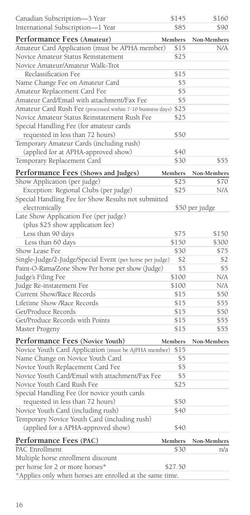| Canadian Subscription-3 Year                                                         | \$145      | \$160          |
|--------------------------------------------------------------------------------------|------------|----------------|
| International Subscription-1 Year                                                    | \$85       | \$90           |
| Performance Fees (Amateur)                                                           | Members    | Non-Members    |
| Amateur Card Application (must be APHA member)                                       | \$15       | N/A            |
| Novice Amateur Status Reinstatement                                                  | \$25       |                |
| Novice Amateur/Amateur Walk-Trot                                                     |            |                |
| Reclassification Fee                                                                 | \$15       |                |
| Name Change Fee on Amateur Card                                                      | \$5        |                |
| Amateur Replacement Card Fee                                                         | \$5        |                |
| Amateur Card/Email with attachment/Fax Fee                                           | \$5        |                |
| Amateur Card Rush Fee (processed within 7-10 business days)                          | \$25       |                |
| Novice Amateur Status Reinstatement Rush Fee                                         | \$25       |                |
| Special Handling Fee (for amateur cards                                              |            |                |
| requested in less than 72 hours)                                                     | \$50       |                |
| Temporary Amateur Cards (including rush)                                             |            |                |
| (applied for at APHA-approved show)                                                  | \$40       |                |
| Temporary Replacement Card                                                           | \$30       | \$55           |
| Performance Fees (Shows and Judges)                                                  | Members    | Non-Members    |
| Show Application (per judge)                                                         | \$25       | \$70           |
| Exception: Regional Clubs (per judge)                                                | \$25       | N/A            |
| Special Handling Fee for Show Results not submitted                                  |            |                |
| electronically                                                                       |            | \$50 per judge |
| Late Show Application Fee (per judge)                                                |            |                |
| (plus \$25 show application fee)                                                     |            |                |
| Less than 90 days                                                                    | \$75       | \$150          |
| Less than 60 days                                                                    | \$150      | \$300          |
| Show Lease Fee                                                                       | \$30       | \$75           |
| Single-Judge/2-Judge/Special Event (per horse per judge)                             | \$2        | \$2            |
| Paint-O-Rama/Zone Show Per horse per show (Judge)                                    | \$5        | \$5            |
| Judge's Filing Fee                                                                   | \$100      | N/A            |
| Judge Re-instatement Fee                                                             | \$100      | N/A            |
| Current Show/Race Records                                                            | \$15       | \$50           |
| Lifetime Show /Race Records                                                          | \$15       | \$55           |
| Get/Produce Records                                                                  | \$15       | \$50           |
| Get/Produce Records with Points                                                      | \$15       | \$55           |
| Master Progeny                                                                       | \$15       | \$55           |
|                                                                                      |            |                |
| Performance Fees (Novice Youth)                                                      | Members    | Non-Members    |
| Novice Youth Card Application (must be AjPHA member)                                 | \$15       |                |
| Name Change on Novice Youth Card                                                     | \$5<br>\$5 |                |
| Novice Youth Replacement Card Fee<br>Novice Youth Card/Email with attachment/Fax Fee |            |                |
| Novice Youth Card Rush Fee                                                           | \$5        |                |
|                                                                                      | \$25       |                |
| Special Handling Fee (for novice youth cards                                         |            |                |
| requested in less than 72 hours)                                                     | \$50       |                |
| Novice Youth Card (including rush)                                                   | \$40       |                |
| Temporary Novice Youth Card (including rush)                                         |            |                |
| (applied for a APHA-approved show)                                                   | \$40       |                |
| Performance Fees (PAC)                                                               | Members    | Non-Members    |
| PAC Enrollment                                                                       | \$30       | n/a            |
| Multiple horse enrollment discount                                                   |            |                |
| per horse for 2 or more horses*                                                      | \$27.50    |                |
| *Applies only when horses are enrolled at the same time.                             |            |                |